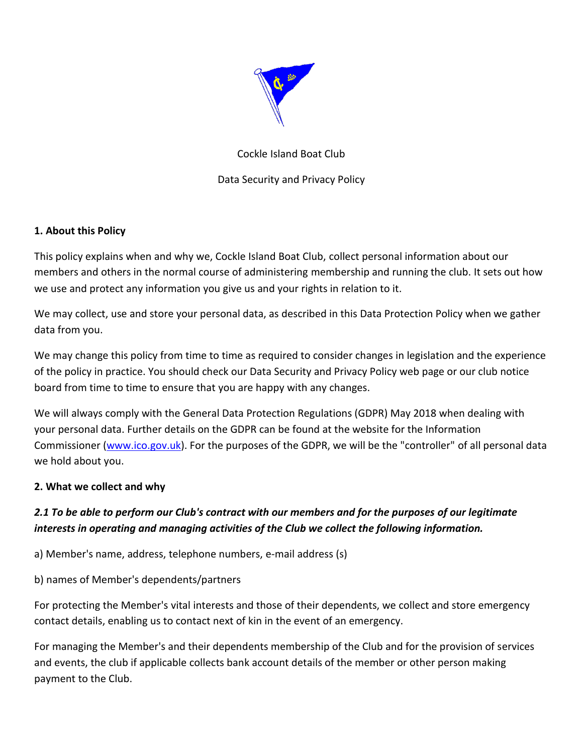

# Cockle Island Boat Club

Data Security and Privacy Policy

## **1. About this Policy**

This policy explains when and why we, Cockle Island Boat Club, collect personal information about our members and others in the normal course of administering membership and running the club. It sets out how we use and protect any information you give us and your rights in relation to it.

We may collect, use and store your personal data, as described in this Data Protection Policy when we gather data from you.

We may change this policy from time to time as required to consider changes in legislation and the experience of the policy in practice. You should check our Data Security and Privacy Policy web page or our club notice board from time to time to ensure that you are happy with any changes.

We will always comply with the General Data Protection Regulations (GDPR) May 2018 when dealing with your personal data. Further details on the GDPR can be found at the website for the Information Commissioner [\(www.ico.gov.uk\)](http://www.ico.gov.uk/). For the purposes of the GDPR, we will be the "controller" of all personal data we hold about you.

## **2. What we collect and why**

# *2.1 To be able to perform our Club's contract with our members and for the purposes of our legitimate interests in operating and managing activities of the Club we collect the following information.*

a) Member's name, address, telephone numbers, e-mail address (s)

b) names of Member's dependents/partners

For protecting the Member's vital interests and those of their dependents, we collect and store emergency contact details, enabling us to contact next of kin in the event of an emergency.

For managing the Member's and their dependents membership of the Club and for the provision of services and events, the club if applicable collects bank account details of the member or other person making payment to the Club.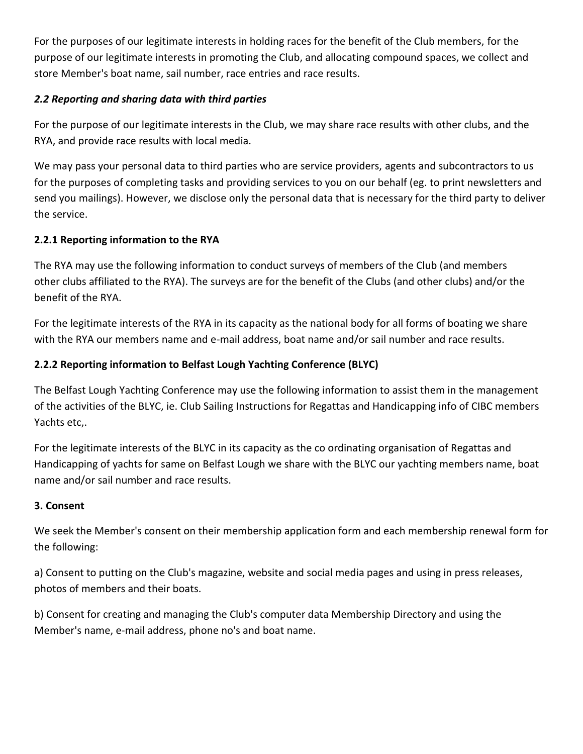For the purposes of our legitimate interests in holding races for the benefit of the Club members, for the purpose of our legitimate interests in promoting the Club, and allocating compound spaces, we collect and store Member's boat name, sail number, race entries and race results.

# *2.2 Reporting and sharing data with third parties*

For the purpose of our legitimate interests in the Club, we may share race results with other clubs, and the RYA, and provide race results with local media.

We may pass your personal data to third parties who are service providers, agents and subcontractors to us for the purposes of completing tasks and providing services to you on our behalf (eg. to print newsletters and send you mailings). However, we disclose only the personal data that is necessary for the third party to deliver the service.

# **2.2.1 Reporting information to the RYA**

The RYA may use the following information to conduct surveys of members of the Club (and members other clubs affiliated to the RYA). The surveys are for the benefit of the Clubs (and other clubs) and/or the benefit of the RYA.

For the legitimate interests of the RYA in its capacity as the national body for all forms of boating we share with the RYA our members name and e-mail address, boat name and/or sail number and race results.

# **2.2.2 Reporting information to Belfast Lough Yachting Conference (BLYC)**

The Belfast Lough Yachting Conference may use the following information to assist them in the management of the activities of the BLYC, ie. Club Sailing Instructions for Regattas and Handicapping info of CIBC members Yachts etc,.

For the legitimate interests of the BLYC in its capacity as the co ordinating organisation of Regattas and Handicapping of yachts for same on Belfast Lough we share with the BLYC our yachting members name, boat name and/or sail number and race results.

# **3. Consent**

We seek the Member's consent on their membership application form and each membership renewal form for the following:

a) Consent to putting on the Club's magazine, website and social media pages and using in press releases, photos of members and their boats.

b) Consent for creating and managing the Club's computer data Membership Directory and using the Member's name, e-mail address, phone no's and boat name.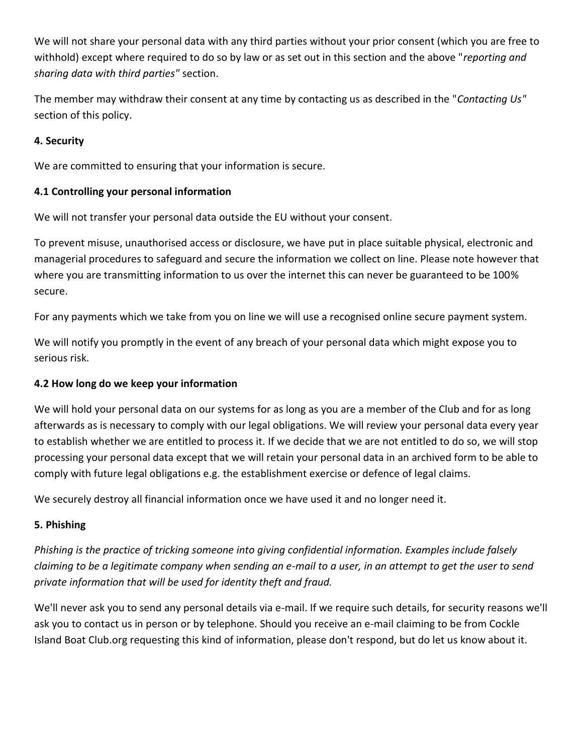We will not share your personal data with any third parties without your prior consent (which you are free to withhold) except where required to do so by law or as set out in this section and the above "*reporting and sharing data with third parties"* section.

The member may withdraw their consent at any time by contacting us as described in the "*Contacting Us"* section of this policy.

## **4. Security**

We are committed to ensuring that your information is secure.

## **4.1 Controlling your personal information**

We will not transfer your personal data outside the EU without your consent.

To prevent misuse, unauthorised access or disclosure, we have put in place suitable physical, electronic and managerial procedures to safeguard and secure the information we collect on line. Please note however that where you are transmitting information to us over the internet this can never be guaranteed to be 100% secure.

For any payments which we take from you on line we will use a recognised online secure payment system.

We will notify you promptly in the event of any breach of your personal data which might expose you to serious risk.

## **4.2 How long do we keep your information**

We will hold your personal data on our systems for as long as you are a member of the Club and for as long afterwards as is necessary to comply with our legal obligations. We will review your personal data every year to establish whether we are entitled to process it. If we decide that we are not entitled to do so, we will stop processing your personal data except that we will retain your personal data in an archived form to be able to comply with future legal obligations e.g. the establishment exercise or defence of legal claims.

We securely destroy all financial information once we have used it and no longer need it.

# **5. Phishing**

*Phishing is the practice of tricking someone into giving confidential information. Examples include falsely claiming to be a legitimate company when sending an e-mail to a user, in an attempt to get the user to send private information that will be used for identity theft and fraud.*

We'll never ask you to send any personal details via e-mail. If we require such details, for security reasons we'll ask you to contact us in person or by telephone. Should you receive an e-mail claiming to be from Cockle Island Boat Club.org requesting this kind of information, please don't respond, but do let us know about it.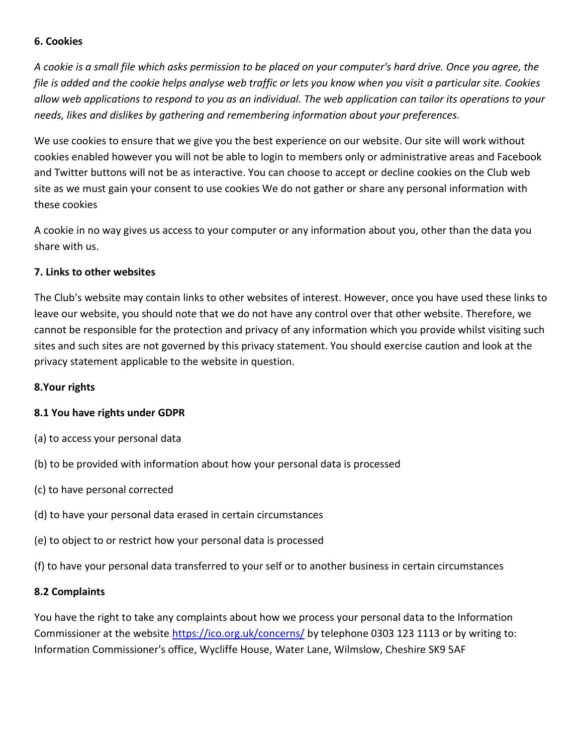#### **6. Cookies**

*A cookie is a small file which asks permission to be placed on your computer's hard drive. Once you agree, the file is added and the cookie helps analyse web traffic or lets you know when you visit a particular site. Cookies allow web applications to respond to you as an individual. The web application can tailor its operations to your needs, likes and dislikes by gathering and remembering information about your preferences.*

We use cookies to ensure that we give you the best experience on our website. Our site will work without cookies enabled however you will not be able to login to members only or administrative areas and Facebook and Twitter buttons will not be as interactive. You can choose to accept or decline cookies on the Club web site as we must gain your consent to use cookies We do not gather or share any personal information with these cookies

A cookie in no way gives us access to your computer or any information about you, other than the data you share with us.

#### **7. Links to other websites**

The Club's website may contain links to other websites of interest. However, once you have used these links to leave our website, you should note that we do not have any control over that other website. Therefore, we cannot be responsible for the protection and privacy of any information which you provide whilst visiting such sites and such sites are not governed by this privacy statement. You should exercise caution and look at the privacy statement applicable to the website in question.

#### **8.Your rights**

#### **8.1 You have rights under GDPR**

- (a) to access your personal data
- (b) to be provided with information about how your personal data is processed
- (c) to have personal corrected
- (d) to have your personal data erased in certain circumstances
- (e) to object to or restrict how your personal data is processed
- (f) to have your personal data transferred to your self or to another business in certain circumstances

#### **8.2 Complaints**

You have the right to take any complaints about how we process your personal data to the Information Commissioner at the website<https://ico.org.uk/concerns/> by telephone 0303 123 1113 or by writing to: Information Commissioner's office, Wycliffe House, Water Lane, Wilmslow, Cheshire SK9 5AF